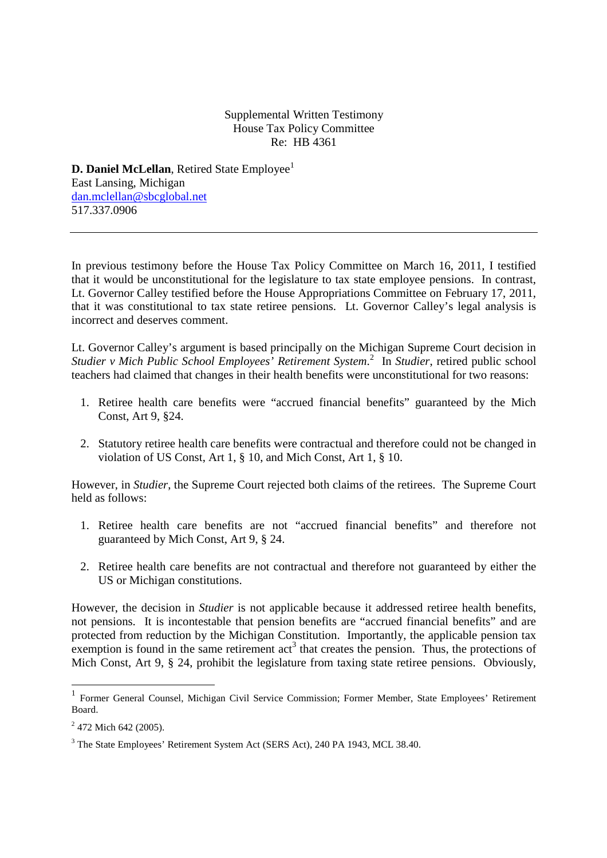## Supplemental Written Testimony House Tax Policy Committee Re: HB 4361

**D. Daniel McLellan**, Retired State Employee<sup>1</sup> East Lansing, Michigan dan.mclellan@sbcglobal.net 517.337.0906

In previous testimony before the House Tax Policy Committee on March 16, 2011, I testified that it would be unconstitutional for the legislature to tax state employee pensions. In contrast, Lt. Governor Calley testified before the House Appropriations Committee on February 17, 2011, that it was constitutional to tax state retiree pensions. Lt. Governor Calley's legal analysis is incorrect and deserves comment.

Lt. Governor Calley's argument is based principally on the Michigan Supreme Court decision in *Studier v Mich Public School Employees' Retirement System*. 2 In *Studier*, retired public school teachers had claimed that changes in their health benefits were unconstitutional for two reasons:

- 1. Retiree health care benefits were "accrued financial benefits" guaranteed by the Mich Const, Art 9, §24.
- 2. Statutory retiree health care benefits were contractual and therefore could not be changed in violation of US Const, Art 1, § 10, and Mich Const, Art 1, § 10.

However, in *Studier*, the Supreme Court rejected both claims of the retirees. The Supreme Court held as follows:

- 1. Retiree health care benefits are not "accrued financial benefits" and therefore not guaranteed by Mich Const, Art 9, § 24.
- 2. Retiree health care benefits are not contractual and therefore not guaranteed by either the US or Michigan constitutions.

However, the decision in *Studier* is not applicable because it addressed retiree health benefits, not pensions. It is incontestable that pension benefits are "accrued financial benefits" and are protected from reduction by the Michigan Constitution. Importantly, the applicable pension tax exemption is found in the same retirement  $\text{act}^3$  that creates the pension. Thus, the protections of Mich Const, Art 9, § 24, prohibit the legislature from taxing state retiree pensions. Obviously,

-

<sup>&</sup>lt;sup>1</sup> Former General Counsel, Michigan Civil Service Commission; Former Member, State Employees' Retirement Board.

 $2$  472 Mich 642 (2005).

<sup>&</sup>lt;sup>3</sup> The State Employees' Retirement System Act (SERS Act), 240 PA 1943, MCL 38.40.